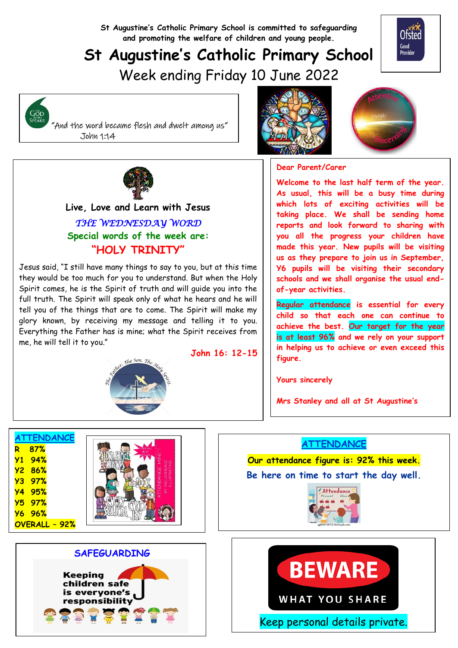**St Augustine's Catholic Primary School is committed to safeguarding and promoting the welfare of children and young people.**

# **St Augustine's Catholic Primary School**

**John 16: 12-15**



Week ending Friday 10 June 2022



 "And the word became flesh and dwelt among us" John 1:14





#### **Dear Parent/Carer**

**Welcome to the last half term of the year. As usual, this will be a busy time during which lots of exciting activities will be taking place. We shall be sending home reports and look forward to sharing with you all the progress your children have made this year. New pupils will be visiting us as they prepare to join us in September, Y6 pupils will be visiting their secondary schools and we shall organise the usual endof-year activities.**

**Regular attendance is essential for every child so that each one can continue to achieve the best. Our target for the year is at least 96% and we rely on your support in helping us to achieve or even exceed this figure.**

**Yours sincerely**

**Mrs Stanley and all at St Augustine's**

# **ATTENDANCE**

**Our attendance figure is: 92% this week. Be here on time to start the day well.**







#### **Live, Love and Learn with Jesus** *THE WEDNESDAY WORD*  **Special words of the week are: "HOLY TRINITY"**

Jesus said, "I still have many things to say to you, but at this time they would be too much for you to understand. But when the Holy Spirit comes, he is the Spirit of truth and will guide you into the full truth. The Spirit will speak only of what he hears and he will tell you of the things that are to come. The Spirit will make my glory known, by receiving my message and telling it to you. Everything the Father has is mine; what the Spirit receives from me, he will tell it to you."



**ATTENDANCE R 87% Y1 94% Y2 86% Y3 97% Y4 95% Y5 97% Y6 96% OVERALL – 92%**



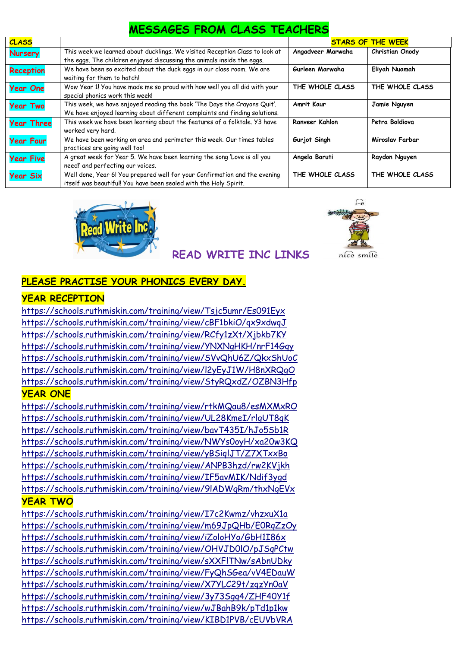# **MESSAGES FROM CLASS TEACHERS**

| <b>CLASS</b>      |                                                                             |                   | <b>STARS OF THE WEEK</b> |
|-------------------|-----------------------------------------------------------------------------|-------------------|--------------------------|
| <b>Nursery</b>    | This week we learned about ducklings. We visited Reception Class to look at | Angadveer Marwaha | Christian Onody          |
|                   | the eggs. The children enjoyed discussing the animals inside the eggs.      |                   |                          |
| <b>Reception</b>  | We have been so excited about the duck eggs in our class room. We are       | Gurleen Marwaha   | Eliyah Nuamah            |
|                   | waiting for them to hatch!                                                  |                   |                          |
| <b>Year One</b>   | Wow Year 1! You have made me so proud with how well you all did with your   | THE WHOLE CLASS   | THE WHOLE CLASS          |
|                   | special phonics work this week!                                             |                   |                          |
| <b>Year Two</b>   | This week, we have enjoyed reading the book 'The Days the Crayons Quit'.    | Amrit Kaur        | Jamie Nguyen             |
|                   | We have enjoyed learning about different complaints and finding solutions.  |                   |                          |
| <b>Year Three</b> | This week we have been learning about the features of a folktale. Y3 have   | Ranveer Kahlon    | Petra Boldiova           |
|                   | worked very hard.                                                           |                   |                          |
| <b>Year Four</b>  | We have been working on area and perimeter this week. Our times tables      | Gurjot Singh      | Miroslav Farbar          |
|                   | practices are going well too!                                               |                   |                          |
| <b>Year Five</b>  | A great week for Year 5. We have been learning the song 'Love is all you    | Angela Baruti     | Raydon Nguyen            |
|                   | need!' and perfecting our voices.                                           |                   |                          |
| <b>Year Six</b>   | Well done, Year 6! You prepared well for your Confirmation and the evening  | THE WHOLE CLASS   | THE WHOLE CLASS          |
|                   | itself was beautiful! You have been sealed with the Holy Spirit.            |                   |                          |



# **READ WRITE INC LINKS**



## **PLEASE PRACTISE YOUR PHONICS EVERY DAY.**

#### **YEAR RECEPTION**

<https://schools.ruthmiskin.com/training/view/Tsjc5umr/Es091Eyx> <https://schools.ruthmiskin.com/training/view/cBF1bkiO/qx9xdwqJ> <https://schools.ruthmiskin.com/training/view/RCfy1zXt/Xjbkb7KY> <https://schools.ruthmiskin.com/training/view/YNXNgHKH/nrF14Gqy> <https://schools.ruthmiskin.com/training/view/SVvQhU6Z/QkxShUoC> <https://schools.ruthmiskin.com/training/view/l2yEyJ1W/H8nXRQgO> <https://schools.ruthmiskin.com/training/view/StyRQxdZ/OZBN3Hfp>

#### **YEAR ONE**

<https://schools.ruthmiskin.com/training/view/rtkMQau8/esMXMxRO> <https://schools.ruthmiskin.com/training/view/UL28KmeI/rlgUT8qK> <https://schools.ruthmiskin.com/training/view/bavT435I/hJo5Sb1R> <https://schools.ruthmiskin.com/training/view/NWYs0oyH/xa20w3KQ> <https://schools.ruthmiskin.com/training/view/yBSiqlJT/Z7XTxxBo> <https://schools.ruthmiskin.com/training/view/ANPB3hzd/rw2KVjkh> <https://schools.ruthmiskin.com/training/view/IF5avMIK/Ndif3ygd> <https://schools.ruthmiskin.com/training/view/9lADWgRm/thxNgEVx>

### **YEAR TWO**

<https://schools.ruthmiskin.com/training/view/I7c2Kwmz/vhzxuX1a> <https://schools.ruthmiskin.com/training/view/m69JpQHb/E0RqZzOy> <https://schools.ruthmiskin.com/training/view/iZoloHYo/GbH1I86x> <https://schools.ruthmiskin.com/training/view/OHVJD0lO/pJSqPCtw> <https://schools.ruthmiskin.com/training/view/sXXFlTNw/sAbnUDky> <https://schools.ruthmiskin.com/training/view/FyQhSGea/vV4EDauW> <https://schools.ruthmiskin.com/training/view/X7YLC29t/zqzYn0aV> <https://schools.ruthmiskin.com/training/view/3y73Sgq4/ZHF40Y1f> <https://schools.ruthmiskin.com/training/view/wJBahB9k/pTd1p1kw> <https://schools.ruthmiskin.com/training/view/KIBD1PVB/cEUVbVRA>